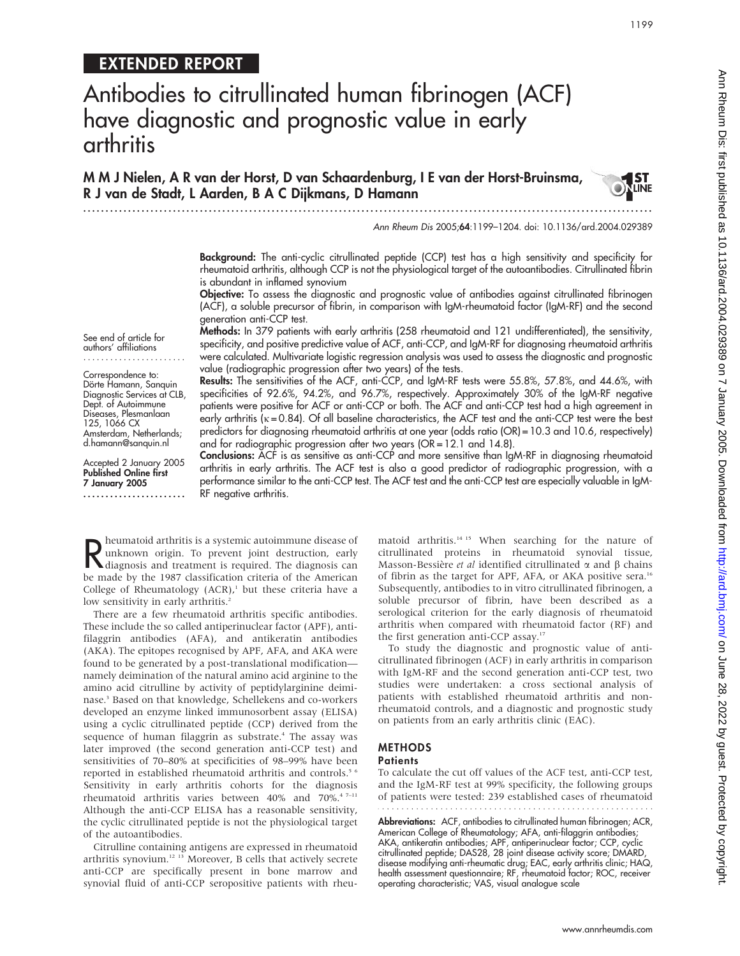## EXTENDED REPORT

# Antibodies to citrullinated human fibrinogen (ACF) have diagnostic and prognostic value in early arthritis

M M J Nielen, A R van der Horst, D van Schaardenburg, I E van der Horst-Bruinsma, R J van de Stadt, L Aarden, B A C Dijkmans, D Hamann

...............................................................................................................................

#### Ann Rheum Dis 2005;64:1199–1204. doi: 10.1136/ard.2004.029389

Background: The anti-cyclic citrullinated peptide (CCP) test has a high sensitivity and specificity for rheumatoid arthritis, although CCP is not the physiological target of the autoantibodies. Citrullinated fibrin is abundant in inflamed synovium

Objective: To assess the diagnostic and prognostic value of antibodies against citrullinated fibrinogen (ACF), a soluble precursor of fibrin, in comparison with IgM-rheumatoid factor (IgM-RF) and the second generation anti-CCP test.

Methods: In 379 patients with early arthritis (258 rheumatoid and 121 undifferentiated), the sensitivity, specificity, and positive predictive value of ACF, anti-CCP, and IgM-RF for diagnosing rheumatoid arthritis were calculated. Multivariate logistic regression analysis was used to assess the diagnostic and prognostic value (radiographic progression after two years) of the tests.

Results: The sensitivities of the ACF, anti-CCP, and IgM-RF tests were 55.8%, 57.8%, and 44.6%, with specificities of 92.6%, 94.2%, and 96.7%, respectively. Approximately 30% of the IgM-RF negative patients were positive for ACF or anti-CCP or both. The ACF and anti-CCP test had a high agreement in early arthritis ( $k = 0.84$ ). Of all baseline characteristics, the ACF test and the anti-CCP test were the best predictors for diagnosing rheumatoid arthritis at one year (odds ratio (OR) = 10.3 and 10.6, respectively) and for radiographic progression after two years  $(OR = 12.1$  and  $14.8)$ .

Conclusions: ACF is as sensitive as anti-CCP and more sensitive than IgM-RF in diagnosing rheumatoid arthritis in early arthritis. The ACF test is also a good predictor of radiographic progression, with a performance similar to the anti-CCP test. The ACF test and the anti-CCP test are especially valuable in IgM-RF negative arthritis.

R heumatoid arthritis is a systemic autoimmune disease of<br>
unknown origin. To prevent joint destruction, early<br>
diagnosis and treatment is required. The diagnosis can<br>
he made by the 1087 classification griteria of the Ame heumatoid arthritis is a systemic autoimmune disease of unknown origin. To prevent joint destruction, early be made by the 1987 classification criteria of the American College of Rheumatology  $(ACR)$ ,<sup>1</sup> but these criteria have a low sensitivity in early arthritis.<sup>2</sup>

There are a few rheumatoid arthritis specific antibodies. These include the so called antiperinuclear factor (APF), antifilaggrin antibodies (AFA), and antikeratin antibodies (AKA). The epitopes recognised by APF, AFA, and AKA were found to be generated by a post-translational modification namely deimination of the natural amino acid arginine to the amino acid citrulline by activity of peptidylarginine deiminase.3 Based on that knowledge, Schellekens and co-workers developed an enzyme linked immunosorbent assay (ELISA) using a cyclic citrullinated peptide (CCP) derived from the sequence of human filaggrin as substrate.<sup>4</sup> The assay was later improved (the second generation anti-CCP test) and sensitivities of 70–80% at specificities of 98–99% have been reported in established rheumatoid arthritis and controls.<sup>5 6</sup> Sensitivity in early arthritis cohorts for the diagnosis rheumatoid arthritis varies between 40% and 70%.<sup>4 7-11</sup> Although the anti-CCP ELISA has a reasonable sensitivity, the cyclic citrullinated peptide is not the physiological target of the autoantibodies.

Citrulline containing antigens are expressed in rheumatoid arthritis synovium.12 13 Moreover, B cells that actively secrete anti-CCP are specifically present in bone marrow and synovial fluid of anti-CCP seropositive patients with rheumatoid arthritis.<sup>14 15</sup> When searching for the nature of citrullinated proteins in rheumatoid synovial tissue, Masson-Bessière et al identified citrullinated  $\alpha$  and  $\beta$  chains of fibrin as the target for APF, AFA, or AKA positive sera.<sup>16</sup> Subsequently, antibodies to in vitro citrullinated fibrinogen, a soluble precursor of fibrin, have been described as a serological criterion for the early diagnosis of rheumatoid arthritis when compared with rheumatoid factor (RF) and the first generation anti-CCP assay.<sup>17</sup>

To study the diagnostic and prognostic value of anticitrullinated fibrinogen (ACF) in early arthritis in comparison with IgM-RF and the second generation anti-CCP test, two studies were undertaken: a cross sectional analysis of patients with established rheumatoid arthritis and nonrheumatoid controls, and a diagnostic and prognostic study on patients from an early arthritis clinic (EAC).

#### METHODS

#### **Patients**

To calculate the cut off values of the ACF test, anti-CCP test, and the IgM-RF test at 99% specificity, the following groups of patients were tested: 239 established cases of rheumatoid

**Abbreviations:** ACF, antibodies to citrullinated human fibrinogen; ACR, American College of Rheumatology; AFA, anti-filaggrin antibodies; AKA, antikeratin antibodies; APF, antiperinuclear factor; CCP, cyclic citrullinated peptide; DAS28, 28 joint disease activity score; DMARD, disease modifying anti-rheumatic drug; EAC, early arthritis clinic; HAQ, health assessment questionnaire; RF, rheumatoid factor; ROC, receiver operating characteristic; VAS, visual analogue scale

Correspondence to: Dörte Hamann, Sanquin

See end of article for authors' affiliations

Diagnostic Services at CLB, Dept. of Autoimmune Diseases, Plesmanlaan 125, 1066 CX Amsterdam, Netherlands; d.hamann@sanquin.nl

Accepted 2 January 2005 Published Online first 7 January 2005 .......................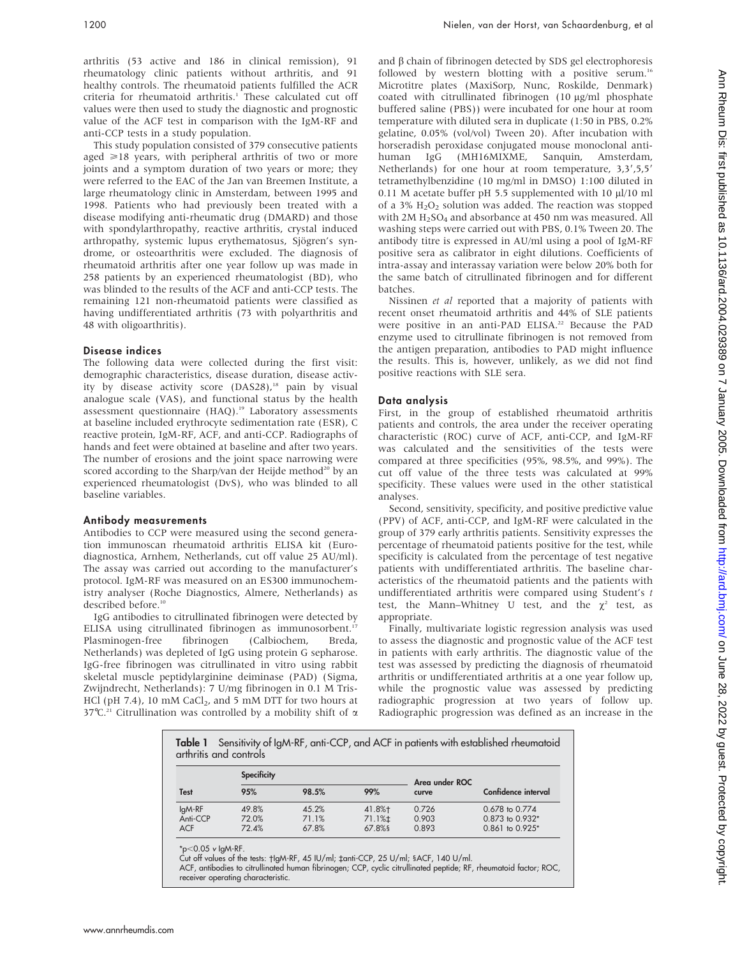arthritis (53 active and 186 in clinical remission), 91 rheumatology clinic patients without arthritis, and 91 healthy controls. The rheumatoid patients fulfilled the ACR criteria for rheumatoid arthritis.<sup>1</sup> These calculated cut off values were then used to study the diagnostic and prognostic value of the ACF test in comparison with the IgM-RF and anti-CCP tests in a study population.

This study population consisted of 379 consecutive patients aged  $\geq 18$  years, with peripheral arthritis of two or more joints and a symptom duration of two years or more; they were referred to the EAC of the Jan van Breemen Institute, a large rheumatology clinic in Amsterdam, between 1995 and 1998. Patients who had previously been treated with a disease modifying anti-rheumatic drug (DMARD) and those with spondylarthropathy, reactive arthritis, crystal induced arthropathy, systemic lupus erythematosus, Sjögren's syndrome, or osteoarthritis were excluded. The diagnosis of rheumatoid arthritis after one year follow up was made in 258 patients by an experienced rheumatologist (BD), who was blinded to the results of the ACF and anti-CCP tests. The remaining 121 non-rheumatoid patients were classified as having undifferentiated arthritis (73 with polyarthritis and 48 with oligoarthritis).

#### Disease indices

The following data were collected during the first visit: demographic characteristics, disease duration, disease activity by disease activity score (DAS28),<sup>18</sup> pain by visual analogue scale (VAS), and functional status by the health assessment questionnaire (HAQ).19 Laboratory assessments at baseline included erythrocyte sedimentation rate (ESR), C reactive protein, IgM-RF, ACF, and anti-CCP. Radiographs of hands and feet were obtained at baseline and after two years. The number of erosions and the joint space narrowing were scored according to the Sharp/van der Heijde method<sup>20</sup> by an experienced rheumatologist (DvS), who was blinded to all baseline variables.

#### Antibody measurements

Antibodies to CCP were measured using the second generation immunoscan rheumatoid arthritis ELISA kit (Eurodiagnostica, Arnhem, Netherlands, cut off value 25 AU/ml). The assay was carried out according to the manufacturer's protocol. IgM-RF was measured on an ES300 immunochemistry analyser (Roche Diagnostics, Almere, Netherlands) as described before.<sup>10</sup>

IgG antibodies to citrullinated fibrinogen were detected by ELISA using citrullinated fibrinogen as immunosorbent.<sup>17</sup> Plasminogen-free fibrinogen (Calbiochem, Breda, Netherlands) was depleted of IgG using protein G sepharose. IgG-free fibrinogen was citrullinated in vitro using rabbit skeletal muscle peptidylarginine deiminase (PAD) (Sigma, Zwijndrecht, Netherlands): 7 U/mg fibrinogen in 0.1 M Tris-HCl (pH  $7.4$ ), 10 mM CaCl<sub>2</sub>, and 5 mM DTT for two hours at 37°C.<sup>21</sup> Citrullination was controlled by a mobility shift of  $\alpha$ 

and  $\beta$  chain of fibrinogen detected by SDS gel electrophoresis followed by western blotting with a positive serum.<sup>16</sup> Microtitre plates (MaxiSorp, Nunc, Roskilde, Denmark) coated with citrullinated fibrinogen (10 µg/ml phosphate buffered saline (PBS)) were incubated for one hour at room temperature with diluted sera in duplicate (1:50 in PBS, 0.2% gelatine, 0.05% (vol/vol) Tween 20). After incubation with horseradish peroxidase conjugated mouse monoclonal antihuman IgG (MH16MIXME, Sanquin, Amsterdam, Netherlands) for one hour at room temperature,  $3,3',5,5'$ tetramethylbenzidine (10 mg/ml in DMSO) 1:100 diluted in 0.11 M acetate buffer pH 5.5 supplemented with 10  $\mu$ l/10 ml of a 3% H<sub>2</sub>O<sub>2</sub> solution was added. The reaction was stopped with  $2M H<sub>2</sub>SO<sub>4</sub>$  and absorbance at 450 nm was measured. All washing steps were carried out with PBS, 0.1% Tween 20. The antibody titre is expressed in AU/ml using a pool of IgM-RF positive sera as calibrator in eight dilutions. Coefficients of intra-assay and interassay variation were below 20% both for the same batch of citrullinated fibrinogen and for different batches.

Nissinen et al reported that a majority of patients with recent onset rheumatoid arthritis and 44% of SLE patients were positive in an anti-PAD ELISA.<sup>22</sup> Because the PAD enzyme used to citrullinate fibrinogen is not removed from the antigen preparation, antibodies to PAD might influence the results. This is, however, unlikely, as we did not find positive reactions with SLE sera.

#### Data analysis

First, in the group of established rheumatoid arthritis patients and controls, the area under the receiver operating characteristic (ROC) curve of ACF, anti-CCP, and IgM-RF was calculated and the sensitivities of the tests were compared at three specificities (95%, 98.5%, and 99%). The cut off value of the three tests was calculated at 99% specificity. These values were used in the other statistical analyses.

Second, sensitivity, specificity, and positive predictive value (PPV) of ACF, anti-CCP, and IgM-RF were calculated in the group of 379 early arthritis patients. Sensitivity expresses the percentage of rheumatoid patients positive for the test, while specificity is calculated from the percentage of test negative patients with undifferentiated arthritis. The baseline characteristics of the rheumatoid patients and the patients with undifferentiated arthritis were compared using Student's t test, the Mann–Whitney U test, and the  $\chi^2$  test, as appropriate.

Finally, multivariate logistic regression analysis was used to assess the diagnostic and prognostic value of the ACF test in patients with early arthritis. The diagnostic value of the test was assessed by predicting the diagnosis of rheumatoid arthritis or undifferentiated arthritis at a one year follow up, while the prognostic value was assessed by predicting radiographic progression at two years of follow up. Radiographic progression was defined as an increase in the

| Sensitivity of IgM-RF, anti-CCP, and ACF in patients with established rheumatoid<br>Table 1<br>arthritis and controls |                         |                         |                                     |                         |                                                      |  |  |
|-----------------------------------------------------------------------------------------------------------------------|-------------------------|-------------------------|-------------------------------------|-------------------------|------------------------------------------------------|--|--|
| <b>Test</b>                                                                                                           | <b>Specificity</b>      |                         |                                     | Area under ROC          |                                                      |  |  |
|                                                                                                                       | 95%                     | 98.5%                   | 99%                                 | curve                   | Confidence interval                                  |  |  |
| lgM-RF<br>Anti-CCP<br><b>ACF</b>                                                                                      | 49.8%<br>72.0%<br>72.4% | 45.2%<br>71.1%<br>67.8% | 41.8%+<br>71.1% $\ddagger$<br>67.8% | 0.726<br>0.903<br>0.893 | 0.678 to 0.774<br>0.873 to 0.932*<br>0.861 to 0.925* |  |  |

\*p<0.05 v IgM-RF.<br>Cut off values of the tests: †IgM-RF, 45 IU/ml; ‡anti-CCP, 25 U/ml; §ACF, 140 U/ml.

ACF, antibodies to citrullinated human fibrinogen; CCP, cyclic citrullinated peptide; RF, rheumatoid factor; ROC, receiver operating characteristic.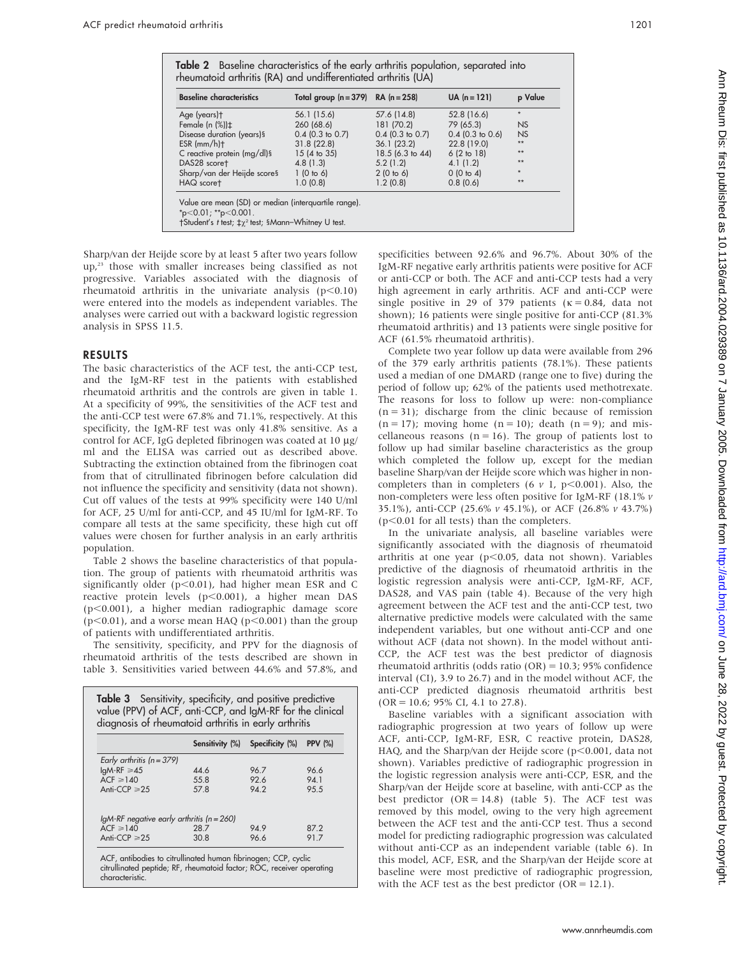| <b>Baseline characteristics</b> | Total group $(n = 379)$ RA $(n = 258)$ |                    | $UA (n = 121)$     | p Value   |
|---------------------------------|----------------------------------------|--------------------|--------------------|-----------|
| Age (years)t                    | 56.1 (15.6)                            | 57.6 (14.8)        | 52.8 (16.6)        | $\star$   |
| Female (n $(\%)\uparrow$        | 260 (68.6)                             | 181 (70.2)         | 79 (65.3)          | <b>NS</b> |
| Disease duration (years)§       | $0.4$ (0.3 to 0.7)                     | $0.4$ (0.3 to 0.7) | $0.4$ (0.3 to 0.6) | <b>NS</b> |
| $ESR$ (mm/h) $\dagger$          | 31.8(22.8)                             | 36.1(23.2)         | 22.8 (19.0)        | $**$      |
| C reactive protein (mg/dl)§     | 15 (4 to 35)                           | 18.5 (6.3 to 44)   | 6(2 to 18)         | $**$      |
| DAS28 scoret                    | 4.8(1.3)                               | 5.2(1.2)           | 4.1(1.2)           | $**$      |
| Sharp/van der Heijde scores     | 1(0 to 6)                              | 2(0 to 6)          | 0(0 to 4)          | $\star$   |
| HAQ scoret                      | 1.0(0.8)                               | 1.2(0.8)           | 0.8(0.6)           | $***$     |

Sharp/van der Heijde score by at least 5 after two years follow up,<sup>23</sup> those with smaller increases being classified as not progressive. Variables associated with the diagnosis of rheumatoid arthritis in the univariate analysis  $(p<0.10)$ were entered into the models as independent variables. The analyses were carried out with a backward logistic regression analysis in SPSS 11.5.

#### RESULTS

The basic characteristics of the ACF test, the anti-CCP test, and the IgM-RF test in the patients with established rheumatoid arthritis and the controls are given in table 1. At a specificity of 99%, the sensitivities of the ACF test and the anti-CCP test were 67.8% and 71.1%, respectively. At this specificity, the IgM-RF test was only 41.8% sensitive. As a control for ACF, IgG depleted fibrinogen was coated at  $10 \mu$ g/ ml and the ELISA was carried out as described above. Subtracting the extinction obtained from the fibrinogen coat from that of citrullinated fibrinogen before calculation did not influence the specificity and sensitivity (data not shown). Cut off values of the tests at 99% specificity were 140 U/ml for ACF, 25 U/ml for anti-CCP, and 45 IU/ml for IgM-RF. To compare all tests at the same specificity, these high cut off values were chosen for further analysis in an early arthritis population.

Table 2 shows the baseline characteristics of that population. The group of patients with rheumatoid arthritis was significantly older ( $p<0.01$ ), had higher mean ESR and C reactive protein levels  $(p<0.001)$ , a higher mean DAS  $(p<0.001)$ , a higher median radiographic damage score  $(p<0.01)$ , and a worse mean HAQ ( $p<0.001$ ) than the group of patients with undifferentiated arthritis.

The sensitivity, specificity, and PPV for the diagnosis of rheumatoid arthritis of the tests described are shown in table 3. Sensitivities varied between 44.6% and 57.8%, and

| Table 3 Sensitivity, specificity, and positive predictive<br>value (PPV) of ACF, anti-CCP, and IgM-RF for the clinical<br>diagnosis of rheumatoid arthritis in early arthritis |      |                                 |                |  |  |
|--------------------------------------------------------------------------------------------------------------------------------------------------------------------------------|------|---------------------------------|----------------|--|--|
|                                                                                                                                                                                |      | Sensitivity (%) Specificity (%) | <b>PPV (%)</b> |  |  |
| Early arthritis ( $n = 379$ )                                                                                                                                                  |      |                                 |                |  |  |
| $IqM-RF \geq 45$                                                                                                                                                               | 44.6 | 96.7                            | 96.6           |  |  |
| $ACF \ge 140$                                                                                                                                                                  | 55.8 | 92.6                            | 94.1           |  |  |
| Anti-CCP $\geq 25$                                                                                                                                                             | 57.8 | 942                             | 95.5           |  |  |
| $IgM-RF$ negative early arthritis ( $n = 260$ )                                                                                                                                |      |                                 |                |  |  |
| $ACF \ge 140$                                                                                                                                                                  | 28.7 | 94.9                            | 87.2           |  |  |
| Anti-CCP $\geq 25$                                                                                                                                                             | 30.8 | 96.6                            | 91.7           |  |  |
| ACF, antibodies to citrullinated human fibrinogen; CCP, cyclic<br>citrullinated peptide; RF, rheumatoid factor; ROC, receiver operating<br>characteristic.                     |      |                                 |                |  |  |

specificities between 92.6% and 96.7%. About 30% of the IgM-RF negative early arthritis patients were positive for ACF or anti-CCP or both. The ACF and anti-CCP tests had a very high agreement in early arthritis. ACF and anti-CCP were single positive in 29 of 379 patients ( $\kappa = 0.84$ , data not shown); 16 patients were single positive for anti-CCP (81.3% rheumatoid arthritis) and 13 patients were single positive for ACF (61.5% rheumatoid arthritis).

Complete two year follow up data were available from 296 of the 379 early arthritis patients (78.1%). These patients used a median of one DMARD (range one to five) during the period of follow up; 62% of the patients used methotrexate. The reasons for loss to follow up were: non-compliance  $(n = 31)$ ; discharge from the clinic because of remission  $(n = 17)$ ; moving home  $(n = 10)$ ; death  $(n = 9)$ ; and miscellaneous reasons ( $n = 16$ ). The group of patients lost to follow up had similar baseline characteristics as the group which completed the follow up, except for the median baseline Sharp/van der Heijde score which was higher in noncompleters than in completers (6  $\nu$  1, p<0.001). Also, the non-completers were less often positive for IgM-RF (18.1% v 35.1%), anti-CCP (25.6% v 45.1%), or ACF (26.8% v 43.7%)  $(p<0.01$  for all tests) than the completers.

In the univariate analysis, all baseline variables were significantly associated with the diagnosis of rheumatoid arthritis at one year ( $p$ <0.05, data not shown). Variables predictive of the diagnosis of rheumatoid arthritis in the logistic regression analysis were anti-CCP, IgM-RF, ACF, DAS28, and VAS pain (table 4). Because of the very high agreement between the ACF test and the anti-CCP test, two alternative predictive models were calculated with the same independent variables, but one without anti-CCP and one without ACF (data not shown). In the model without anti-CCP, the ACF test was the best predictor of diagnosis rheumatoid arthritis (odds ratio  $(OR) = 10.3$ ; 95% confidence interval (CI), 3.9 to 26.7) and in the model without ACF, the anti-CCP predicted diagnosis rheumatoid arthritis best  $(OR = 10.6; 95\% \text{ CI}, 4.1 \text{ to } 27.8).$ 

Baseline variables with a significant association with radiographic progression at two years of follow up were ACF, anti-CCP, IgM-RF, ESR, C reactive protein, DAS28, HAQ, and the Sharp/van der Heijde score ( $p$ <0.001, data not shown). Variables predictive of radiographic progression in the logistic regression analysis were anti-CCP, ESR, and the Sharp/van der Heijde score at baseline, with anti-CCP as the best predictor  $(OR = 14.8)$  (table 5). The ACF test was removed by this model, owing to the very high agreement between the ACF test and the anti-CCP test. Thus a second model for predicting radiographic progression was calculated without anti-CCP as an independent variable (table 6). In this model, ACF, ESR, and the Sharp/van der Heijde score at baseline were most predictive of radiographic progression, with the ACF test as the best predictor  $(OR = 12.1)$ .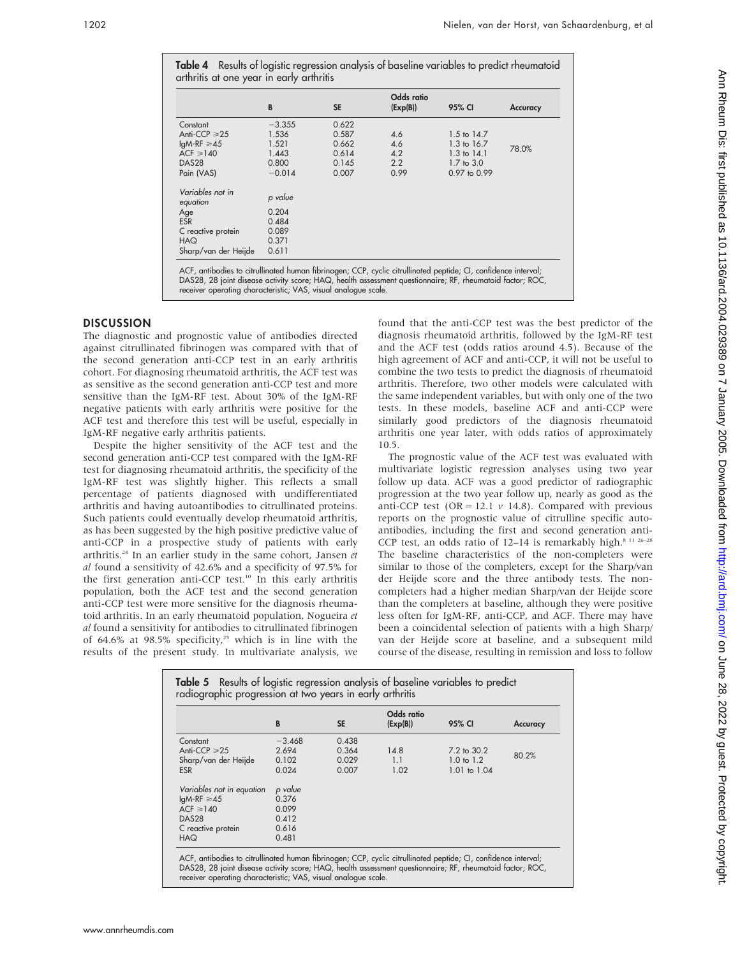Table 4 Results of logistic regression analysis of baseline variables to predict rheumatoid arthritis at one year in early arthritis

|                              | B        | <b>SE</b> | Odds ratio<br>(Exp(B)) | 95% CI                 | <b>Accuracy</b> |
|------------------------------|----------|-----------|------------------------|------------------------|-----------------|
| Constant                     | $-3.355$ | 0.622     |                        |                        |                 |
| Anti-CCP $\geq 25$           | 1.536    | 0.587     | 4.6                    | $1.5 \text{ to } 14.7$ |                 |
| $IqM-RF \geq 45$             | 1.521    | 0.662     | 4.6                    | 1.3 to 16.7            | 78.0%           |
| $ACF \ge 140$                | 1.443    | 0.614     | 4.2                    | $1.3 \text{ to } 14.1$ |                 |
| DAS28                        | 0.800    | 0.145     | 2.2                    | $1.7$ to $3.0$         |                 |
| Pain (VAS)                   | $-0.014$ | 0.007     | 0.99                   | 0.97 to 0.99           |                 |
| Variables not in<br>equation | p value  |           |                        |                        |                 |
| Age                          | 0.204    |           |                        |                        |                 |
| <b>ESR</b>                   | 0.484    |           |                        |                        |                 |
| C reactive protein           | 0.089    |           |                        |                        |                 |
| <b>HAQ</b>                   | 0.371    |           |                        |                        |                 |
| Sharp/van der Heijde         | 0.611    |           |                        |                        |                 |

DAS28, 28 joint disease activity score; HAQ, health assessment questionnaire; RF, rheumatoid factor; ROC, receiver operating characteristic; VAS, visual analogue scale.

#### **DISCUSSION**

The diagnostic and prognostic value of antibodies directed against citrullinated fibrinogen was compared with that of the second generation anti-CCP test in an early arthritis cohort. For diagnosing rheumatoid arthritis, the ACF test was as sensitive as the second generation anti-CCP test and more sensitive than the IgM-RF test. About 30% of the IgM-RF negative patients with early arthritis were positive for the ACF test and therefore this test will be useful, especially in IgM-RF negative early arthritis patients.

Despite the higher sensitivity of the ACF test and the second generation anti-CCP test compared with the IgM-RF test for diagnosing rheumatoid arthritis, the specificity of the IgM-RF test was slightly higher. This reflects a small percentage of patients diagnosed with undifferentiated arthritis and having autoantibodies to citrullinated proteins. Such patients could eventually develop rheumatoid arthritis, as has been suggested by the high positive predictive value of anti-CCP in a prospective study of patients with early arthritis.<sup>24</sup> In an earlier study in the same cohort, Jansen et al found a sensitivity of 42.6% and a specificity of 97.5% for the first generation anti-CCP test.<sup>10</sup> In this early arthritis population, both the ACF test and the second generation anti-CCP test were more sensitive for the diagnosis rheumatoid arthritis. In an early rheumatoid population, Nogueira et al found a sensitivity for antibodies to citrullinated fibrinogen of 64.6% at 98.5% specificity,<sup>25</sup> which is in line with the results of the present study. In multivariate analysis, we found that the anti-CCP test was the best predictor of the diagnosis rheumatoid arthritis, followed by the IgM-RF test and the ACF test (odds ratios around 4.5). Because of the high agreement of ACF and anti-CCP, it will not be useful to combine the two tests to predict the diagnosis of rheumatoid arthritis. Therefore, two other models were calculated with the same independent variables, but with only one of the two tests. In these models, baseline ACF and anti-CCP were similarly good predictors of the diagnosis rheumatoid arthritis one year later, with odds ratios of approximately 10.5.

The prognostic value of the ACF test was evaluated with multivariate logistic regression analyses using two year follow up data. ACF was a good predictor of radiographic progression at the two year follow up, nearly as good as the anti-CCP test (OR = 12.1  $\nu$  14.8). Compared with previous reports on the prognostic value of citrulline specific autoantibodies, including the first and second generation anti-CCP test, an odds ratio of  $12-14$  is remarkably high.<sup>8 11 26-28</sup> The baseline characteristics of the non-completers were similar to those of the completers, except for the Sharp/van der Heijde score and the three antibody tests. The noncompleters had a higher median Sharp/van der Heijde score than the completers at baseline, although they were positive less often for IgM-RF, anti-CCP, and ACF. There may have been a coincidental selection of patients with a high Sharp/ van der Heijde score at baseline, and a subsequent mild course of the disease, resulting in remission and loss to follow

|                           | B        | <b>SE</b> | Odds ratio<br>(Exp(B)) | 95% CI                | <b>Accuracy</b> |
|---------------------------|----------|-----------|------------------------|-----------------------|-----------------|
| Constant                  | $-3.468$ | 0.438     |                        |                       |                 |
| Anti-CCP $\geq 25$        | 2.694    | 0.364     | 14.8                   | 7.2 to 30.2           | 80.2%           |
| Sharp/van der Heijde      | 0.102    | 0.029     | 1.1                    | $1.0 \text{ to } 1.2$ |                 |
| <b>ESR</b>                | 0.024    | 0.007     | 1.02                   | 1.01 to 1.04          |                 |
| Variables not in equation | p value  |           |                        |                       |                 |
| $IqM-RF \geq 45$          | 0.376    |           |                        |                       |                 |
| $ACF \ge 140$             | 0.099    |           |                        |                       |                 |
| DAS <sub>28</sub>         | 0.412    |           |                        |                       |                 |
| C reactive protein        | 0.616    |           |                        |                       |                 |
| <b>HAQ</b>                | 0.481    |           |                        |                       |                 |

ACF, antibodies to citrullinated human fibrinogen; CCP, cyclic citrullinated peptide; CI, confidence interval; DAS28, 28 joint disease activity score; HAQ, health assessment questionnaire; RF, rheumatoid factor; ROC, receiver operating characteristic; VAS, visual analogue scale.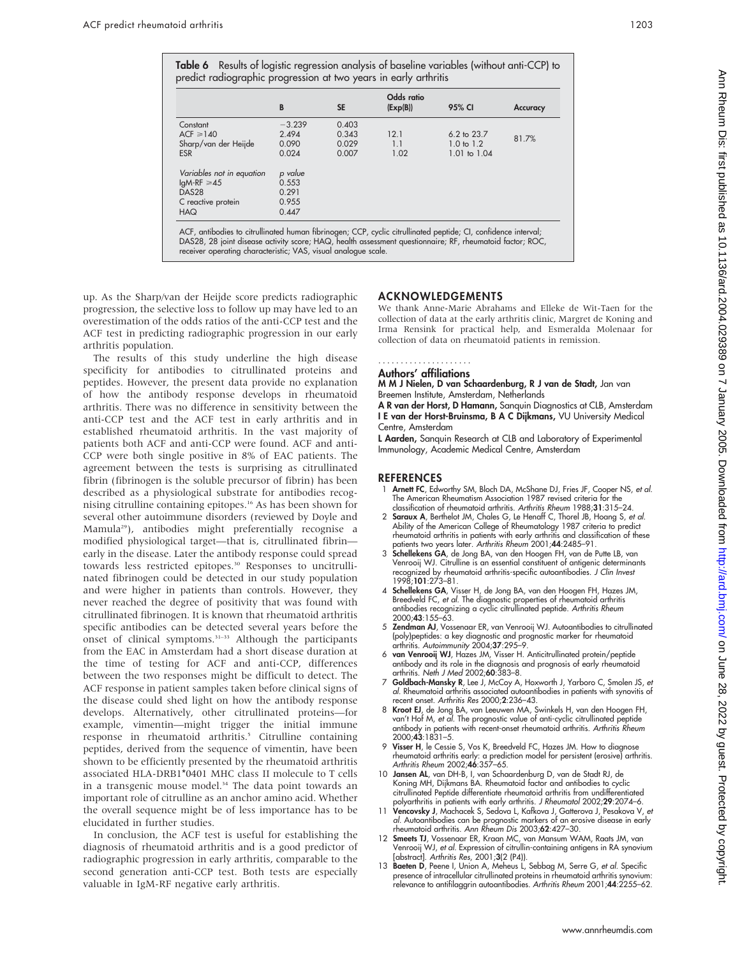|  | $\sim$ | $\sim$ |
|--|--------|--------|
|--|--------|--------|

|                           | B        | <b>SE</b> | Odds ratio<br>(Exp(B)) | 95% CI                 | <b>Accuracy</b> |
|---------------------------|----------|-----------|------------------------|------------------------|-----------------|
| Constant                  | $-3.239$ | 0.403     |                        |                        |                 |
| $ACF \ge 140$             | 2.494    | 0.343     | 12.1                   | $6.2 \text{ to } 23.7$ | 81.7%           |
| Sharp/van der Heijde      | 0.090    | 0.029     | 11                     | $1.0 \text{ to } 1.2$  |                 |
| <b>ESR</b>                | 0.024    | 0.007     | 1.02                   | 1.01 to 1.04           |                 |
| Variables not in equation | p value  |           |                        |                        |                 |
| $IqM-RF \geq 45$          | 0.553    |           |                        |                        |                 |
| <b>DAS28</b>              | 0.291    |           |                        |                        |                 |
| C reactive protein        | 0.955    |           |                        |                        |                 |
| <b>HAQ</b>                | 0.447    |           |                        |                        |                 |

up. As the Sharp/van der Heijde score predicts radiographic progression, the selective loss to follow up may have led to an overestimation of the odds ratios of the anti-CCP test and the ACF test in predicting radiographic progression in our early arthritis population.

The results of this study underline the high disease specificity for antibodies to citrullinated proteins and peptides. However, the present data provide no explanation of how the antibody response develops in rheumatoid arthritis. There was no difference in sensitivity between the anti-CCP test and the ACF test in early arthritis and in established rheumatoid arthritis. In the vast majority of patients both ACF and anti-CCP were found. ACF and anti-CCP were both single positive in 8% of EAC patients. The agreement between the tests is surprising as citrullinated fibrin (fibrinogen is the soluble precursor of fibrin) has been described as a physiological substrate for antibodies recognising citrulline containing epitopes.16 As has been shown for several other autoimmune disorders (reviewed by Doyle and Mamula29), antibodies might preferentially recognise a modified physiological target—that is, citrullinated fibrin early in the disease. Later the antibody response could spread towards less restricted epitopes.<sup>30</sup> Responses to uncitrullinated fibrinogen could be detected in our study population and were higher in patients than controls. However, they never reached the degree of positivity that was found with citrullinated fibrinogen. It is known that rheumatoid arthritis specific antibodies can be detected several years before the onset of clinical symptoms.<sup>31-33</sup> Although the participants from the EAC in Amsterdam had a short disease duration at the time of testing for ACF and anti-CCP, differences between the two responses might be difficult to detect. The ACF response in patient samples taken before clinical signs of the disease could shed light on how the antibody response develops. Alternatively, other citrullinated proteins—for example, vimentin—might trigger the initial immune response in rheumatoid arthritis.<sup>5</sup> Citrulline containing peptides, derived from the sequence of vimentin, have been shown to be efficiently presented by the rheumatoid arthritis associated HLA-DRB1\*0401 MHC class II molecule to T cells in a transgenic mouse model.<sup>34</sup> The data point towards an important role of citrulline as an anchor amino acid. Whether the overall sequence might be of less importance has to be elucidated in further studies.

In conclusion, the ACF test is useful for establishing the diagnosis of rheumatoid arthritis and is a good predictor of radiographic progression in early arthritis, comparable to the second generation anti-CCP test. Both tests are especially valuable in IgM-RF negative early arthritis.

### ACKNOWLEDGEMENTS

We thank Anne-Marie Abrahams and Elleke de Wit-Taen for the collection of data at the early arthritis clinic, Margret de Koning and Irma Rensink for practical help, and Esmeralda Molenaar for collection of data on rheumatoid patients in remission.

#### Authors' affiliations .....................

## M M J Nielen, D van Schaardenburg, R J van de Stadt, Jan van

Breemen Institute, Amsterdam, Netherlands

A R van der Horst, D Hamann, Sanquin Diagnostics at CLB, Amsterdam I E van der Horst-Bruinsma, B A C Dijkmans, VU University Medical Centre, Amsterdam

L Aarden, Sanquin Research at CLB and Laboratory of Experimental Immunology, Academic Medical Centre, Amsterdam

#### **REFERENCES**

- 1 Arnett FC, Edworthy SM, Bloch DA, McShane DJ, Fries JF, Cooper NS, et al. The American Rheumatism Association 1987 revised criteria for the classification of rheumatoid arthritis. Arthritis Rheum 1988;31:315–24.
- 2 Saraux A, Berthelot JM, Chales G, Le Henaff C, Thorel JB, Hoang S, et al. Ability of the American College of Rheumatology 1987 criteria to predict rheumatoid arthritis in patients with early arthritis and classification of these
- patients two years later. Arthritis Rheum 2001;44:2485–91.<br>3 **Schellekens GA**, de Jong BA, van den Hoogen FH, van de Putte LB, van Venrooij WJ. Citrulline is an essential constituent of antigenic determinants recognized by rheumatoid arthritis-specific autoantibodies. J Clin Invest 1998;101:273–81.
- 4 Schellekens GA, Visser H, de Jong BA, van den Hoogen FH, Hazes JM, Breedveld FC, *et al.* The diagnostic properties of rheumatoid arthritis<br>antibodies recognizing a cyclic citrullinated peptide. *Arthritis Rheum* 2000;43:155–63.
- 5 Zendman AJ, Vossenaar ER, van Venrooij WJ. Autoantibodies to citrullinated (poly)peptides: a key diagnostic and prognostic marker for rheumatoid arthritis. Autoimmunity 2004;37:295-9.
- 6 van Venrooij WJ, Hazes JM, Visser H. Anticitrullinated protein/peptide antibody and its role in the diagnosis and prognosis of early rheumatoid<br>arthritis. *Neth J Med* 2002;**60**:383–8.
- 7 Goldbach-Mansky R, Lee J, McCoy A, Hoxworth J, Yarboro C, Smolen JS, et al. Rheumatoid arthritis associated autoantibodies in patients with synovitis of recent onset. Arthritis Res 2000;2:236–43.
- 8 Kroot EJ, de Jong BA, van Leeuwen MA, Swinkels H, van den Hoogen FH, van't Hof M, et al. The prognostic value of anti-cyclic citrullinated peptide antibody in patients with recent-onset rheumatoid arthritis. Arthritis Rheum 2000;43:1831–5.
- Visser H, le Cessie S, Vos K, Breedveld FC, Hazes JM. How to diagnose rheumatoid arthritis early: a prediction model for persistent (erosive) arthritis.<br>Arthritis Rheum 2002;**46**:357–65.
- 10 Jansen AL, van DH-B, I, van Schaardenburg D, van de Stadt RJ, de Koning MH, Dijkmans BA. Rheumatoid factor and antibodies to cyclic citrullinated Peptide differentiate rheumatoid arthritis from undifferentiated polyarthritis in patients with early arthritis. J Rheumatol 2002;29:2074–6.
- 11 Vencovsky J, Machacek S, Sedova L, Kafkova J, Gatterova J, Pesakova V, et<br>11 Vencovsky J, Machacek S, Sedova L, Kafkova J, Gatterova J, Pesakova V, et *al.* Autoantibodies can be prognostic markers of an erosive disease in early<br>rheumatoid arthritis. *Ann Rheum Dis* 2003;**62**:427–30.
- 12 Smeets TJ, Vossenaar ER, Kraan MC, van Mansum WAM, Raats JM, van Venrooij WJ, et al. Expression of citrullin-containing antigens in RA synovium [abstract]. Arthritis Res, 2001;3(2 (P4)).
- 13 Baeten D, Peene I, Union A, Meheus L, Sebbag M, Serre G, et al. Specific presence of intracellular citrullinated proteins in rheumatoid arthritis synovium: relevance to antifilaggrin autoantibodies. Arthritis Rheum 2001;44:2255–62.